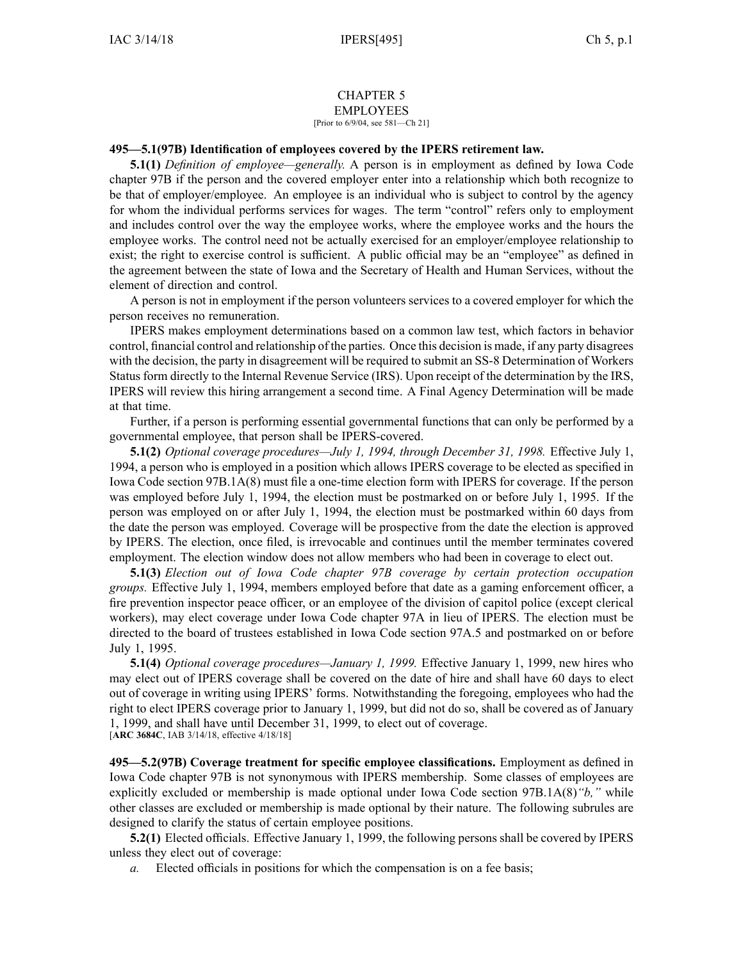## CHAPTER 5 EMPLOYEES

[Prior to 6/9/04, see 581—Ch 21]

## **495—5.1(97B) Identification of employees covered by the IPERS retirement law.**

**5.1(1)** *Definition of employee—generally.* A person is in employment as defined by Iowa Code chapter [97B](https://www.legis.iowa.gov/docs/ico/chapter/97B.pdf) if the person and the covered employer enter into <sup>a</sup> relationship which both recognize to be that of employer/employee. An employee is an individual who is subject to control by the agency for whom the individual performs services for wages. The term "control" refers only to employment and includes control over the way the employee works, where the employee works and the hours the employee works. The control need not be actually exercised for an employer/employee relationship to exist; the right to exercise control is sufficient. A public official may be an "employee" as defined in the agreemen<sup>t</sup> between the state of Iowa and the Secretary of Health and Human Services, without the element of direction and control.

A person is not in employment if the person volunteers services to <sup>a</sup> covered employer for which the person receives no remuneration.

IPERS makes employment determinations based on <sup>a</sup> common law test, which factors in behavior control, financial control and relationship of the parties. Once this decision is made, if any party disagrees with the decision, the party in disagreement will be required to submit an SS-8 Determination of Workers Status form directly to the Internal Revenue Service (IRS). Upon receipt of the determination by the IRS, IPERS will review this hiring arrangemen<sup>t</sup> <sup>a</sup> second time. A Final Agency Determination will be made at that time.

Further, if <sup>a</sup> person is performing essential governmental functions that can only be performed by <sup>a</sup> governmental employee, that person shall be IPERS-covered.

**5.1(2)** *Optional coverage procedures—July 1, 1994, through December 31, 1998.* Effective July 1, 1994, <sup>a</sup> person who is employed in <sup>a</sup> position which allows IPERS coverage to be elected as specified in Iowa Code section [97B.1A\(8\)](https://www.legis.iowa.gov/docs/ico/section/97B.1A.pdf) must file <sup>a</sup> one-time election form with IPERS for coverage. If the person was employed before July 1, 1994, the election must be postmarked on or before July 1, 1995. If the person was employed on or after July 1, 1994, the election must be postmarked within 60 days from the date the person was employed. Coverage will be prospective from the date the election is approved by IPERS. The election, once filed, is irrevocable and continues until the member terminates covered employment. The election window does not allow members who had been in coverage to elect out.

**5.1(3)** *Election out of Iowa Code chapter [97B](https://www.legis.iowa.gov/docs/ico/chapter/97B.pdf) coverage by certain protection occupation groups.* Effective July 1, 1994, members employed before that date as <sup>a</sup> gaming enforcement officer, <sup>a</sup> fire prevention inspector peace officer, or an employee of the division of capitol police (except clerical workers), may elect coverage under Iowa Code chapter [97A](https://www.legis.iowa.gov/docs/ico/chapter/97A.pdf) in lieu of IPERS. The election must be directed to the board of trustees established in Iowa Code section [97A.5](https://www.legis.iowa.gov/docs/ico/section/97A.5.pdf) and postmarked on or before July 1, 1995.

**5.1(4)** *Optional coverage procedures—January 1, 1999.* Effective January 1, 1999, new hires who may elect out of IPERS coverage shall be covered on the date of hire and shall have 60 days to elect out of coverage in writing using IPERS' forms. Notwithstanding the foregoing, employees who had the right to elect IPERS coverage prior to January 1, 1999, but did not do so, shall be covered as of January 1, 1999, and shall have until December 31, 1999, to elect out of coverage. [**ARC [3684C](https://www.legis.iowa.gov/docs/aco/arc/3684C.pdf)**, IAB 3/14/18, effective 4/18/18]

**495—5.2(97B) Coverage treatment for specific employee classifications.** Employment as defined in Iowa Code chapter [97B](https://www.legis.iowa.gov/docs/ico/chapter/97B.pdf) is not synonymous with IPERS membership. Some classes of employees are explicitly excluded or membership is made optional under Iowa Code section [97B.1A\(8\)](https://www.legis.iowa.gov/docs/ico/section/97B.1A.pdf)*"b,"* while other classes are excluded or membership is made optional by their nature. The following subrules are designed to clarify the status of certain employee positions.

**5.2(1)** Elected officials. Effective January 1, 1999, the following persons shall be covered by IPERS unless they elect out of coverage:

*a.* Elected officials in positions for which the compensation is on <sup>a</sup> fee basis;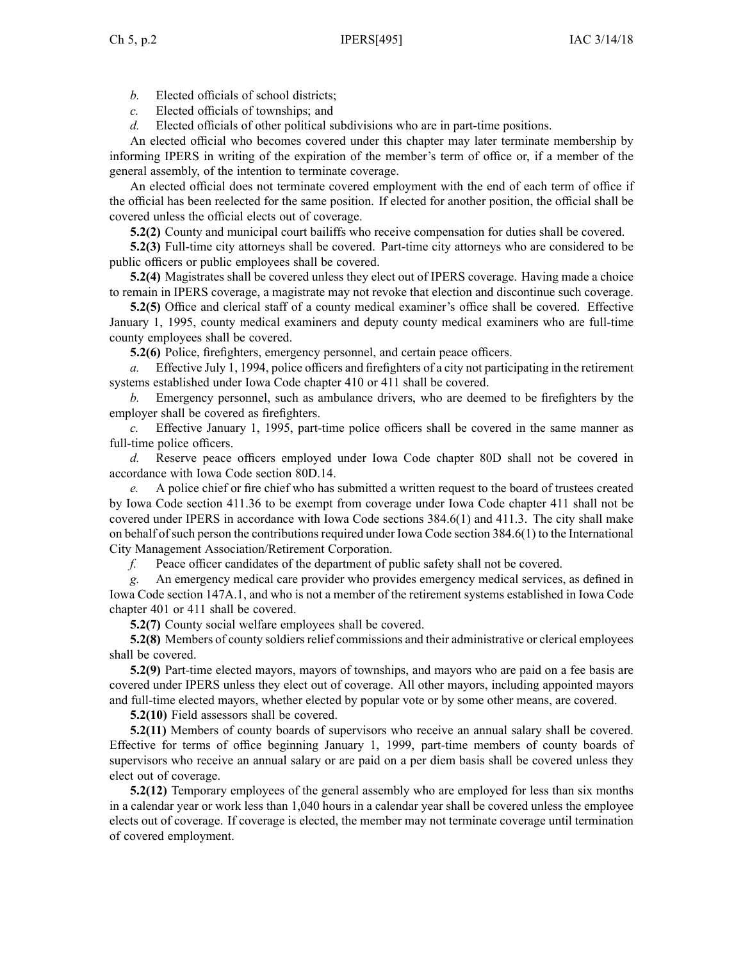- *b.* Elected officials of school districts;
- *c.* Elected officials of townships; and
- *d.* Elected officials of other political subdivisions who are in part-time positions.

An elected official who becomes covered under this chapter may later terminate membership by informing IPERS in writing of the expiration of the member's term of office or, if <sup>a</sup> member of the general assembly, of the intention to terminate coverage.

An elected official does not terminate covered employment with the end of each term of office if the official has been reelected for the same position. If elected for another position, the official shall be covered unless the official elects out of coverage.

**5.2(2)** County and municipal court bailiffs who receive compensation for duties shall be covered.

**5.2(3)** Full-time city attorneys shall be covered. Part-time city attorneys who are considered to be public officers or public employees shall be covered.

**5.2(4)** Magistrates shall be covered unless they elect out of IPERS coverage. Having made <sup>a</sup> choice to remain in IPERS coverage, <sup>a</sup> magistrate may not revoke that election and discontinue such coverage.

**5.2(5)** Office and clerical staff of <sup>a</sup> county medical examiner's office shall be covered. Effective January 1, 1995, county medical examiners and deputy county medical examiners who are full-time county employees shall be covered.

**5.2(6)** Police, firefighters, emergency personnel, and certain peace officers.

*a.* Effective July 1, 1994, police officers and firefighters of <sup>a</sup> city not participating in the retirement systems established under Iowa Code chapter [410](https://www.legis.iowa.gov/docs/ico/chapter/410.pdf) or [411](https://www.legis.iowa.gov/docs/ico/chapter/411.pdf) shall be covered.

*b.* Emergency personnel, such as ambulance drivers, who are deemed to be firefighters by the employer shall be covered as firefighters.

*c.* Effective January 1, 1995, part-time police officers shall be covered in the same manner as full-time police officers.

*d.* Reserve peace officers employed under Iowa Code chapter [80D](https://www.legis.iowa.gov/docs/ico/chapter/80D.pdf) shall not be covered in accordance with Iowa Code section [80D.14](https://www.legis.iowa.gov/docs/ico/section/80D.14.pdf).

*e.* A police chief or fire chief who has submitted <sup>a</sup> written reques<sup>t</sup> to the board of trustees created by Iowa Code section [411.36](https://www.legis.iowa.gov/docs/ico/section/411.36.pdf) to be exemp<sup>t</sup> from coverage under Iowa Code chapter [411](https://www.legis.iowa.gov/docs/ico/chapter/411.pdf) shall not be covered under IPERS in accordance with Iowa Code sections [384.6\(1\)](https://www.legis.iowa.gov/docs/ico/section/384.6.pdf) and [411.3](https://www.legis.iowa.gov/docs/ico/section/411.3.pdf). The city shall make on behalf of such person the contributions required under Iowa Code section  $384.6(1)$  to the International City Management Association/Retirement Corporation.

*f.* Peace officer candidates of the department of public safety shall not be covered.

*g.* An emergency medical care provider who provides emergency medical services, as defined in Iowa Code section [147A.1](https://www.legis.iowa.gov/docs/ico/section/2017/147A.1.pdf), and who is not <sup>a</sup> member of the retirement systems established in Iowa Code chapter [401](https://www.legis.iowa.gov/docs/ico/chapter/2017/401.pdf) or [411](https://www.legis.iowa.gov/docs/ico/chapter/2017/411.pdf) shall be covered.

**5.2(7)** County social welfare employees shall be covered.

**5.2(8)** Members of county soldiers relief commissions and their administrative or clerical employees shall be covered.

**5.2(9)** Part-time elected mayors, mayors of townships, and mayors who are paid on <sup>a</sup> fee basis are covered under IPERS unless they elect out of coverage. All other mayors, including appointed mayors and full-time elected mayors, whether elected by popular vote or by some other means, are covered.

**5.2(10)** Field assessors shall be covered.

**5.2(11)** Members of county boards of supervisors who receive an annual salary shall be covered. Effective for terms of office beginning January 1, 1999, part-time members of county boards of supervisors who receive an annual salary or are paid on <sup>a</sup> per diem basis shall be covered unless they elect out of coverage.

**5.2(12)** Temporary employees of the general assembly who are employed for less than six months in <sup>a</sup> calendar year or work less than 1,040 hours in <sup>a</sup> calendar year shall be covered unless the employee elects out of coverage. If coverage is elected, the member may not terminate coverage until termination of covered employment.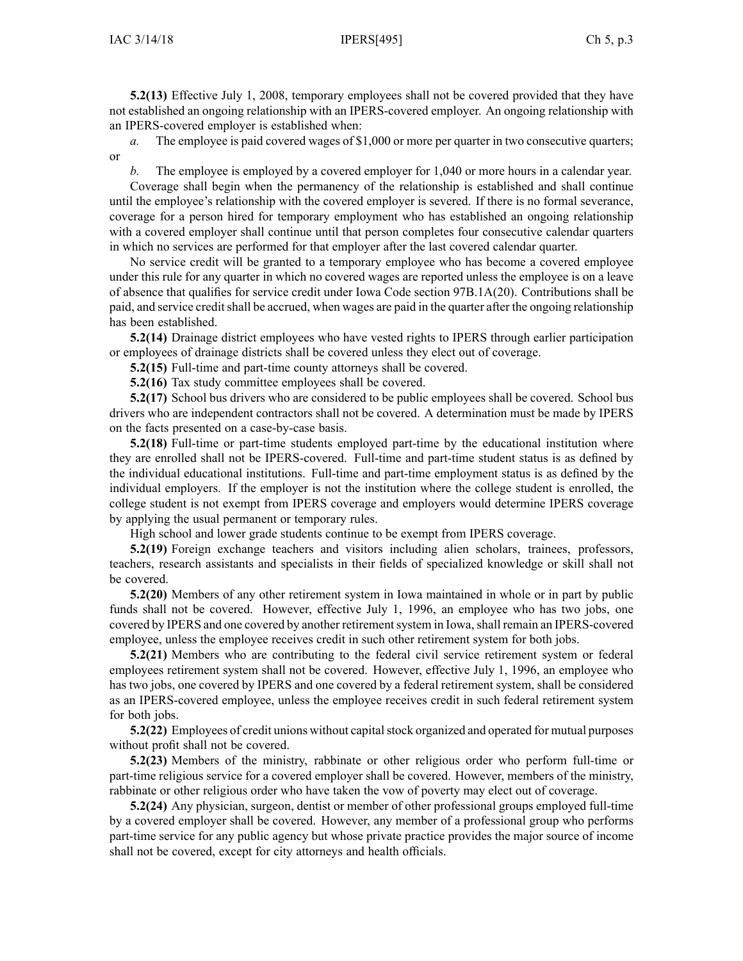**5.2(13)** Effective July 1, 2008, temporary employees shall not be covered provided that they have not established an ongoing relationship with an IPERS-covered employer. An ongoing relationship with an IPERS-covered employer is established when:

*a.* The employee is paid covered wages of \$1,000 or more per quarter in two consecutive quarters; or

*b.* The employee is employed by <sup>a</sup> covered employer for 1,040 or more hours in <sup>a</sup> calendar year. Coverage shall begin when the permanency of the relationship is established and shall continue until the employee's relationship with the covered employer is severed. If there is no formal severance, coverage for <sup>a</sup> person hired for temporary employment who has established an ongoing relationship with <sup>a</sup> covered employer shall continue until that person completes four consecutive calendar quarters in which no services are performed for that employer after the last covered calendar quarter.

No service credit will be granted to <sup>a</sup> temporary employee who has become <sup>a</sup> covered employee under this rule for any quarter in which no covered wages are reported unless the employee is on <sup>a</sup> leave of absence that qualifies for service credit under Iowa Code section [97B.1A\(20\)](https://www.legis.iowa.gov/docs/ico/section/97B.1A.pdf). Contributions shall be paid, and service credit shall be accrued, when wages are paid in the quarter after the ongoing relationship has been established.

**5.2(14)** Drainage district employees who have vested rights to IPERS through earlier participation or employees of drainage districts shall be covered unless they elect out of coverage.

**5.2(15)** Full-time and part-time county attorneys shall be covered.

**5.2(16)** Tax study committee employees shall be covered.

**5.2(17)** School bus drivers who are considered to be public employees shall be covered. School bus drivers who are independent contractors shall not be covered. A determination must be made by IPERS on the facts presented on <sup>a</sup> case-by-case basis.

**5.2(18)** Full-time or part-time students employed part-time by the educational institution where they are enrolled shall not be IPERS-covered. Full-time and part-time student status is as defined by the individual educational institutions. Full-time and part-time employment status is as defined by the individual employers. If the employer is not the institution where the college student is enrolled, the college student is not exemp<sup>t</sup> from IPERS coverage and employers would determine IPERS coverage by applying the usual permanen<sup>t</sup> or temporary rules.

High school and lower grade students continue to be exemp<sup>t</sup> from IPERS coverage.

**5.2(19)** Foreign exchange teachers and visitors including alien scholars, trainees, professors, teachers, research assistants and specialists in their fields of specialized knowledge or skill shall not be covered.

**5.2(20)** Members of any other retirement system in Iowa maintained in whole or in par<sup>t</sup> by public funds shall not be covered. However, effective July 1, 1996, an employee who has two jobs, one covered by IPERS and one covered by another retirement system in Iowa, shall remain an IPERS-covered employee, unless the employee receives credit in such other retirement system for both jobs.

**5.2(21)** Members who are contributing to the federal civil service retirement system or federal employees retirement system shall not be covered. However, effective July 1, 1996, an employee who has two jobs, one covered by IPERS and one covered by <sup>a</sup> federal retirement system, shall be considered as an IPERS-covered employee, unless the employee receives credit in such federal retirement system for both jobs.

**5.2(22)** Employees of credit unions without capital stock organized and operated for mutual purposes without profit shall not be covered.

**5.2(23)** Members of the ministry, rabbinate or other religious order who perform full-time or part-time religious service for <sup>a</sup> covered employer shall be covered. However, members of the ministry, rabbinate or other religious order who have taken the vow of poverty may elect out of coverage.

**5.2(24)** Any physician, surgeon, dentist or member of other professional groups employed full-time by <sup>a</sup> covered employer shall be covered. However, any member of <sup>a</sup> professional group who performs part-time service for any public agency but whose private practice provides the major source of income shall not be covered, excep<sup>t</sup> for city attorneys and health officials.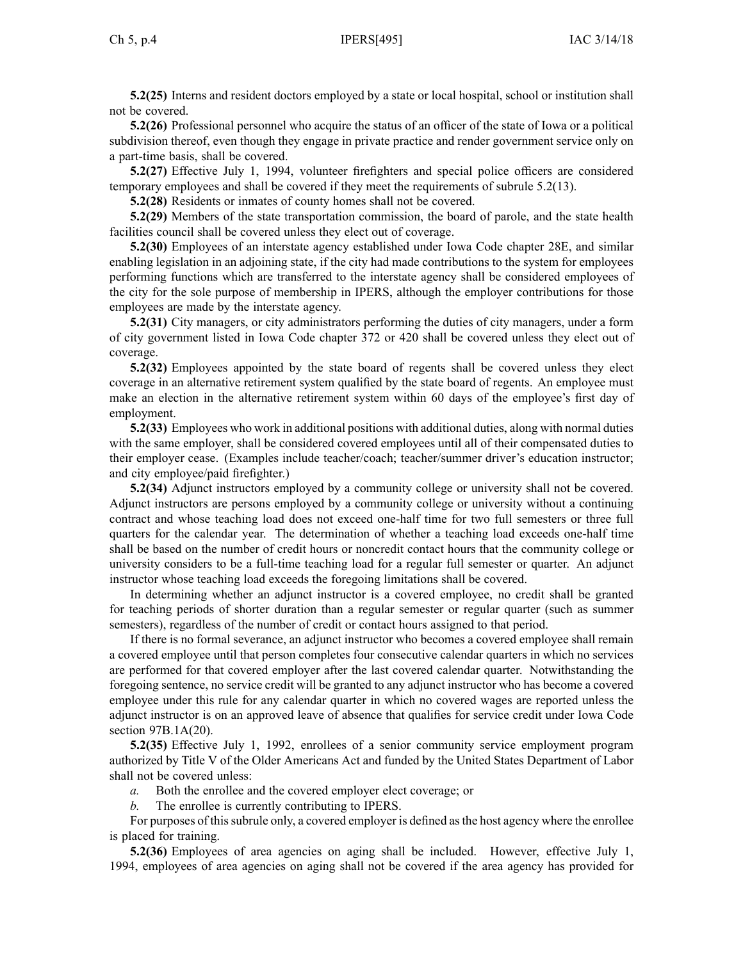**5.2(25)** Interns and resident doctors employed by <sup>a</sup> state or local hospital, school or institution shall not be covered.

**5.2(26)** Professional personnel who acquire the status of an officer of the state of Iowa or <sup>a</sup> political subdivision thereof, even though they engage in private practice and render governmen<sup>t</sup> service only on <sup>a</sup> part-time basis, shall be covered.

**5.2(27)** Effective July 1, 1994, volunteer firefighters and special police officers are considered temporary employees and shall be covered if they meet the requirements of subrule [5.2\(13\)](https://www.legis.iowa.gov/docs/iac/rule/495.5.2.pdf).

**5.2(28)** Residents or inmates of county homes shall not be covered.

**5.2(29)** Members of the state transportation commission, the board of parole, and the state health facilities council shall be covered unless they elect out of coverage.

**5.2(30)** Employees of an interstate agency established under Iowa Code chapter [28E](https://www.legis.iowa.gov/docs/ico/chapter/28E.pdf), and similar enabling legislation in an adjoining state, if the city had made contributions to the system for employees performing functions which are transferred to the interstate agency shall be considered employees of the city for the sole purpose of membership in IPERS, although the employer contributions for those employees are made by the interstate agency.

**5.2(31)** City managers, or city administrators performing the duties of city managers, under <sup>a</sup> form of city governmen<sup>t</sup> listed in Iowa Code chapter [372](https://www.legis.iowa.gov/docs/ico/chapter/372.pdf) or [420](https://www.legis.iowa.gov/docs/ico/chapter/420.pdf) shall be covered unless they elect out of coverage.

**5.2(32)** Employees appointed by the state board of regents shall be covered unless they elect coverage in an alternative retirement system qualified by the state board of regents. An employee must make an election in the alternative retirement system within 60 days of the employee's first day of employment.

**5.2(33)** Employees who work in additional positions with additional duties, along with normal duties with the same employer, shall be considered covered employees until all of their compensated duties to their employer cease. (Examples include teacher/coach; teacher/summer driver's education instructor; and city employee/paid firefighter.)

**5.2(34)** Adjunct instructors employed by <sup>a</sup> community college or university shall not be covered. Adjunct instructors are persons employed by <sup>a</sup> community college or university without <sup>a</sup> continuing contract and whose teaching load does not exceed one-half time for two full semesters or three full quarters for the calendar year. The determination of whether <sup>a</sup> teaching load exceeds one-half time shall be based on the number of credit hours or noncredit contact hours that the community college or university considers to be <sup>a</sup> full-time teaching load for <sup>a</sup> regular full semester or quarter. An adjunct instructor whose teaching load exceeds the foregoing limitations shall be covered.

In determining whether an adjunct instructor is <sup>a</sup> covered employee, no credit shall be granted for teaching periods of shorter duration than <sup>a</sup> regular semester or regular quarter (such as summer semesters), regardless of the number of credit or contact hours assigned to that period.

If there is no formal severance, an adjunct instructor who becomes <sup>a</sup> covered employee shall remain <sup>a</sup> covered employee until that person completes four consecutive calendar quarters in which no services are performed for that covered employer after the last covered calendar quarter. Notwithstanding the foregoing sentence, no service credit will be granted to any adjunct instructor who has become <sup>a</sup> covered employee under this rule for any calendar quarter in which no covered wages are reported unless the adjunct instructor is on an approved leave of absence that qualifies for service credit under Iowa Code section [97B.1A\(20\)](https://www.legis.iowa.gov/docs/ico/section/97B.1A.pdf).

**5.2(35)** Effective July 1, 1992, enrollees of <sup>a</sup> senior community service employment program authorized by Title V of the Older Americans Act and funded by the United States Department of Labor shall not be covered unless:

*a.* Both the enrollee and the covered employer elect coverage; or

*b.* The enrollee is currently contributing to IPERS.

For purposes of this subrule only, a covered employer is defined as the host agency where the enrollee is placed for training.

**5.2(36)** Employees of area agencies on aging shall be included. However, effective July 1, 1994, employees of area agencies on aging shall not be covered if the area agency has provided for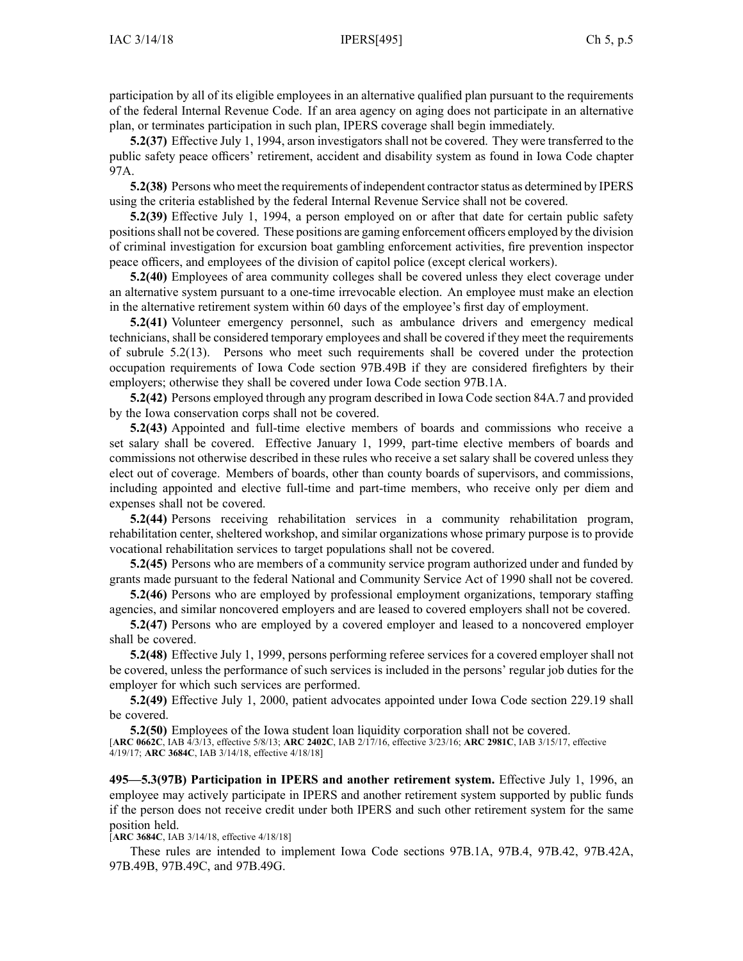participation by all of its eligible employees in an alternative qualified plan pursuan<sup>t</sup> to the requirements of the federal Internal Revenue Code. If an area agency on aging does not participate in an alternative plan, or terminates participation in such plan, IPERS coverage shall begin immediately.

**5.2(37)** Effective July 1, 1994, arson investigators shall not be covered. They were transferred to the public safety peace officers' retirement, accident and disability system as found in Iowa Code chapter [97A](https://www.legis.iowa.gov/docs/ico/chapter/97A.pdf).

**5.2(38)** Persons who meet the requirements of independent contractorstatus as determined by IPERS using the criteria established by the federal Internal Revenue Service shall not be covered.

**5.2(39)** Effective July 1, 1994, <sup>a</sup> person employed on or after that date for certain public safety positionsshall not be covered. These positions are gaming enforcement officers employed by the division of criminal investigation for excursion boat gambling enforcement activities, fire prevention inspector peace officers, and employees of the division of capitol police (except clerical workers).

**5.2(40)** Employees of area community colleges shall be covered unless they elect coverage under an alternative system pursuan<sup>t</sup> to <sup>a</sup> one-time irrevocable election. An employee must make an election in the alternative retirement system within 60 days of the employee's first day of employment.

**5.2(41)** Volunteer emergency personnel, such as ambulance drivers and emergency medical technicians, shall be considered temporary employees and shall be covered if they meet the requirements of subrule [5.2\(13\)](https://www.legis.iowa.gov/docs/iac/rule/495.5.2.pdf). Persons who meet such requirements shall be covered under the protection occupation requirements of Iowa Code section [97B.49B](https://www.legis.iowa.gov/docs/ico/section/97B.49B.pdf) if they are considered firefighters by their employers; otherwise they shall be covered under Iowa Code section [97B.1A](https://www.legis.iowa.gov/docs/ico/section/2017/97B.1A.pdf).

**5.2(42)** Persons employed through any program described in Iowa Code section [84A.7](https://www.legis.iowa.gov/docs/ico/section/84A.7.pdf) and provided by the Iowa conservation corps shall not be covered.

**5.2(43)** Appointed and full-time elective members of boards and commissions who receive <sup>a</sup> set salary shall be covered. Effective January 1, 1999, part-time elective members of boards and commissions not otherwise described in these rules who receive <sup>a</sup> set salary shall be covered unless they elect out of coverage. Members of boards, other than county boards of supervisors, and commissions, including appointed and elective full-time and part-time members, who receive only per diem and expenses shall not be covered.

**5.2(44)** Persons receiving rehabilitation services in <sup>a</sup> community rehabilitation program, rehabilitation center, sheltered workshop, and similar organizations whose primary purpose is to provide vocational rehabilitation services to target populations shall not be covered.

**5.2(45)** Persons who are members of <sup>a</sup> community service program authorized under and funded by grants made pursuan<sup>t</sup> to the federal National and Community Service Act of 1990 shall not be covered.

**5.2(46)** Persons who are employed by professional employment organizations, temporary staffing agencies, and similar noncovered employers and are leased to covered employers shall not be covered.

**5.2(47)** Persons who are employed by <sup>a</sup> covered employer and leased to <sup>a</sup> noncovered employer shall be covered.

**5.2(48)** Effective July 1, 1999, persons performing referee services for <sup>a</sup> covered employer shall not be covered, unless the performance of such services is included in the persons' regular job duties for the employer for which such services are performed.

**5.2(49)** Effective July 1, 2000, patient advocates appointed under Iowa Code section [229.19](https://www.legis.iowa.gov/docs/ico/section/229.19.pdf) shall be covered.

**5.2(50)** Employees of the Iowa student loan liquidity corporation shall not be covered. [**ARC [0662C](https://www.legis.iowa.gov/docs/aco/arc/0662C.pdf)**, IAB 4/3/13, effective 5/8/13; **ARC [2402C](https://www.legis.iowa.gov/docs/aco/arc/2402C.pdf)**, IAB 2/17/16, effective 3/23/16; **ARC [2981C](https://www.legis.iowa.gov/docs/aco/arc/2981C.pdf)**, IAB 3/15/17, effective 4/19/17; **ARC [3684C](https://www.legis.iowa.gov/docs/aco/arc/3684C.pdf)**, IAB 3/14/18, effective 4/18/18]

**495—5.3(97B) Participation in IPERS and another retirement system.** Effective July 1, 1996, an employee may actively participate in IPERS and another retirement system supported by public funds if the person does not receive credit under both IPERS and such other retirement system for the same position held.

[**ARC [3684C](https://www.legis.iowa.gov/docs/aco/arc/3684C.pdf)**, IAB 3/14/18, effective 4/18/18]

These rules are intended to implement Iowa Code sections [97B.1A](https://www.legis.iowa.gov/docs/ico/section/97B.1A.pdf), [97B.4](https://www.legis.iowa.gov/docs/ico/section/97B.4.pdf), [97B.42](https://www.legis.iowa.gov/docs/ico/section/97B.42.pdf), [97B.42A](https://www.legis.iowa.gov/docs/ico/section/97B.42A.pdf), [97B.49B](https://www.legis.iowa.gov/docs/ico/section/97B.49B.pdf), [97B.49C](https://www.legis.iowa.gov/docs/ico/section/97B.49C.pdf), and [97B.49G](https://www.legis.iowa.gov/docs/ico/section/97B.49G.pdf).